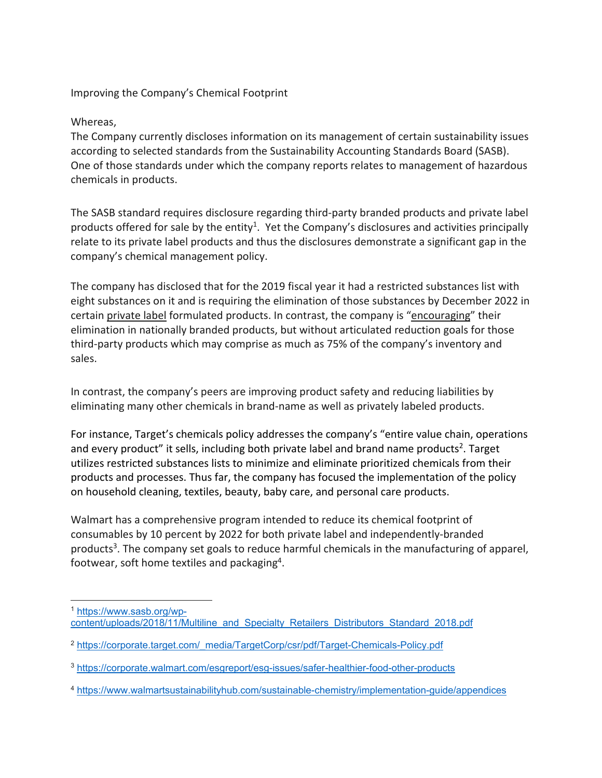Improving the Company's Chemical Footprint

## Whereas,

The Company currently discloses information on its management of certain sustainability issues according to selected standards from the Sustainability Accounting Standards Board (SASB). One of those standards under which the company reports relates to management of hazardous chemicals in products.

The SASB standard requires disclosure regarding third‐party branded products and private label products offered for sale by the entity<sup>1</sup>. Yet the Company's disclosures and activities principally relate to its private label products and thus the disclosures demonstrate a significant gap in the company's chemical management policy.

The company has disclosed that for the 2019 fiscal year it had a restricted substances list with eight substances on it and is requiring the elimination of those substances by December 2022 in certain private label formulated products. In contrast, the company is "encouraging" their elimination in nationally branded products, but without articulated reduction goals for those third‐party products which may comprise as much as 75% of the company's inventory and sales.

In contrast, the company's peers are improving product safety and reducing liabilities by eliminating many other chemicals in brand‐name as well as privately labeled products.

For instance, Target's chemicals policy addresses the company's "entire value chain, operations and every product" it sells, including both private label and brand name products<sup>2</sup>. Target utilizes restricted substances lists to minimize and eliminate prioritized chemicals from their products and processes. Thus far, the company has focused the implementation of the policy on household cleaning, textiles, beauty, baby care, and personal care products.

Walmart has a comprehensive program intended to reduce its chemical footprint of consumables by 10 percent by 2022 for both private label and independently‐branded products<sup>3</sup>. The company set goals to reduce harmful chemicals in the manufacturing of apparel, footwear, soft home textiles and packaging4.

<sup>1</sup> https://www.sasb.org/wpcontent/uploads/2018/11/Multiline\_and\_Specialty\_Retailers\_Distributors\_Standard\_2018.pdf

<sup>2</sup> https://corporate.target.com/\_media/TargetCorp/csr/pdf/Target-Chemicals-Policy.pdf

<sup>3</sup> https://corporate.walmart.com/esgreport/esg-issues/safer-healthier-food-other-products

<sup>4</sup> https://www.walmartsustainabilityhub.com/sustainable-chemistry/implementation-guide/appendices